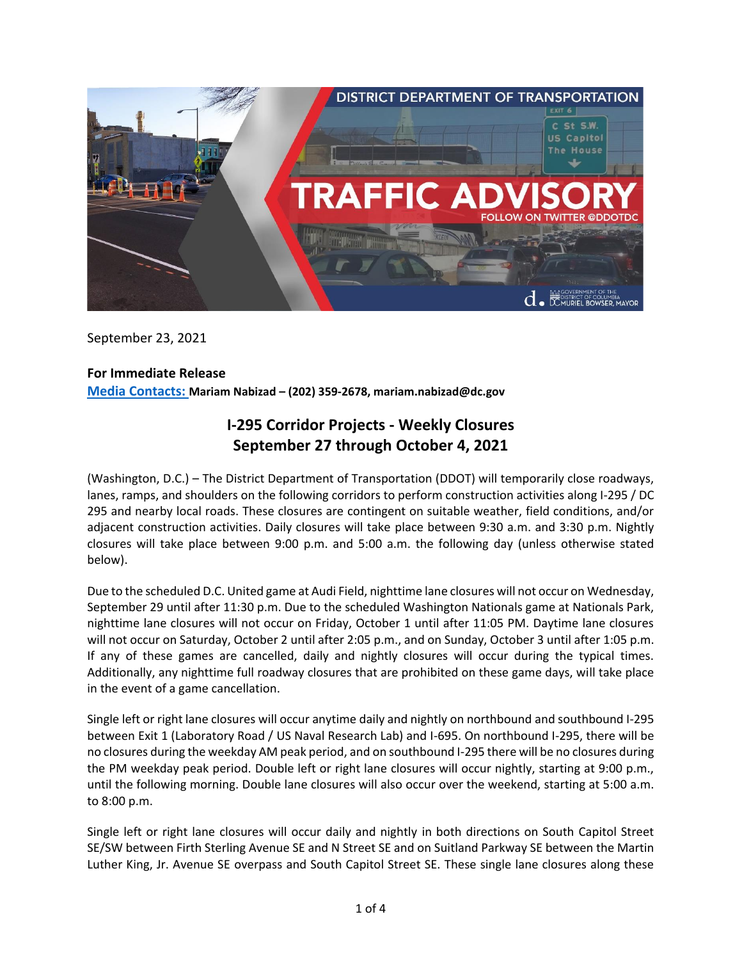

September 23, 2021

## **For Immediate Release**

**Media Contacts: Mariam Nabizad – (202) 359-2678, mariam.nabizad@dc.gov**

# **I-295 Corridor Projects - Weekly Closures September 27 through October 4, 2021**

(Washington, D.C.) – The District Department of Transportation (DDOT) will temporarily close roadways, lanes, ramps, and shoulders on the following corridors to perform construction activities along I-295 / DC 295 and nearby local roads. These closures are contingent on suitable weather, field conditions, and/or adjacent construction activities. Daily closures will take place between 9:30 a.m. and 3:30 p.m. Nightly closures will take place between 9:00 p.m. and 5:00 a.m. the following day (unless otherwise stated below).

Due to the scheduled D.C. United game at Audi Field, nighttime lane closures will not occur on Wednesday, September 29 until after 11:30 p.m. Due to the scheduled Washington Nationals game at Nationals Park, nighttime lane closures will not occur on Friday, October 1 until after 11:05 PM. Daytime lane closures will not occur on Saturday, October 2 until after 2:05 p.m., and on Sunday, October 3 until after 1:05 p.m. If any of these games are cancelled, daily and nightly closures will occur during the typical times. Additionally, any nighttime full roadway closures that are prohibited on these game days, will take place in the event of a game cancellation.

Single left or right lane closures will occur anytime daily and nightly on northbound and southbound I-295 between Exit 1 (Laboratory Road / US Naval Research Lab) and I-695. On northbound I-295, there will be no closures during the weekday AM peak period, and on southbound I-295 there will be no closures during the PM weekday peak period. Double left or right lane closures will occur nightly, starting at 9:00 p.m., until the following morning. Double lane closures will also occur over the weekend, starting at 5:00 a.m. to 8:00 p.m.

Single left or right lane closures will occur daily and nightly in both directions on South Capitol Street SE/SW between Firth Sterling Avenue SE and N Street SE and on Suitland Parkway SE between the Martin Luther King, Jr. Avenue SE overpass and South Capitol Street SE. These single lane closures along these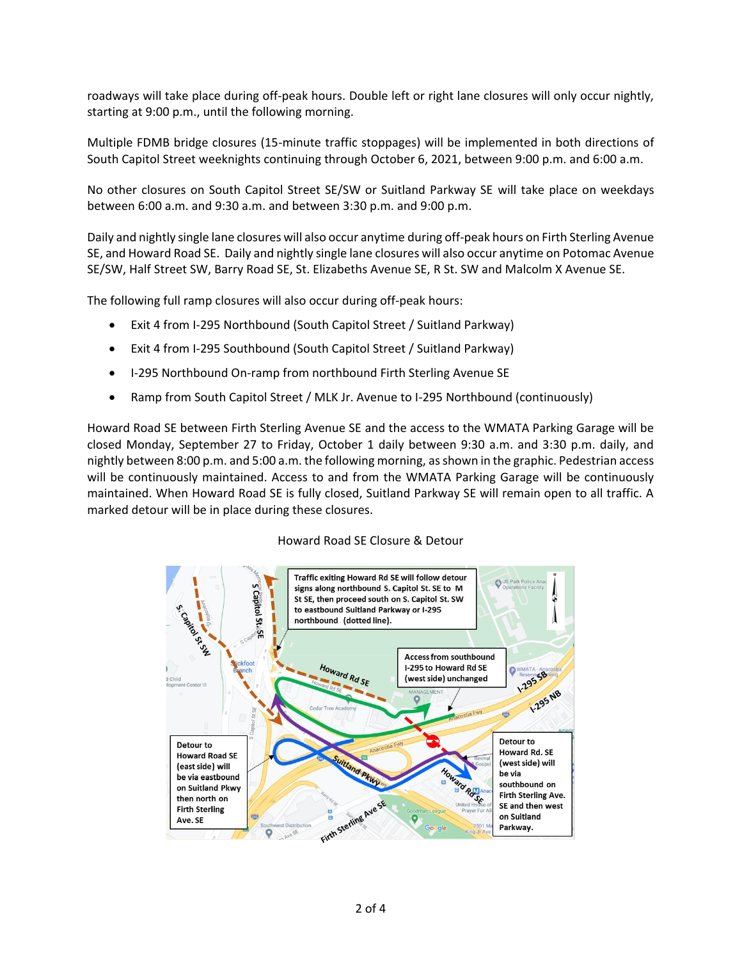roadways will take place during off-peak hours. Double left or right lane closures will only occur nightly, starting at 9:00 p.m., until the following morning.

Multiple FDMB bridge closures (15-minute traffic stoppages) will be implemented in both directions of South Capitol Street weeknights continuing through October 6, 2021, between 9:00 p.m. and 6:00 a.m.

No other closures on South Capitol Street SE/SW or Suitland Parkway SE will take place on weekdays between 6:00 a.m. and 9:30 a.m. and between 3:30 p.m. and 9:00 p.m.

Daily and nightly single lane closures will also occur anytime during off-peak hours on Firth Sterling Avenue SE, and Howard Road SE. Daily and nightly single lane closures will also occur anytime on Potomac Avenue SE/SW, Half Street SW, Barry Road SE, St. Elizabeths Avenue SE, R St. SW and Malcolm X Avenue SE.

The following full ramp closures will also occur during off-peak hours:

- Exit 4 from I-295 Northbound (South Capitol Street / Suitland Parkway)
- Exit 4 from I-295 Southbound (South Capitol Street / Suitland Parkway)
- I-295 Northbound On-ramp from northbound Firth Sterling Avenue SE
- Ramp from South Capitol Street / MLK Jr. Avenue to I-295 Northbound (continuously)

Howard Road SE between Firth Sterling Avenue SE and the access to the WMATA Parking Garage will be closed Monday, September 27 to Friday, October 1 daily between 9:30 a.m. and 3:30 p.m. daily, and nightly between 8:00 p.m. and 5:00 a.m. the following morning, as shown in the graphic. Pedestrian access will be continuously maintained. Access to and from the WMATA Parking Garage will be continuously maintained. When Howard Road SE is fully closed, Suitland Parkway SE will remain open to all traffic. A marked detour will be in place during these closures.

#### Howard Road SE Closure & Detour

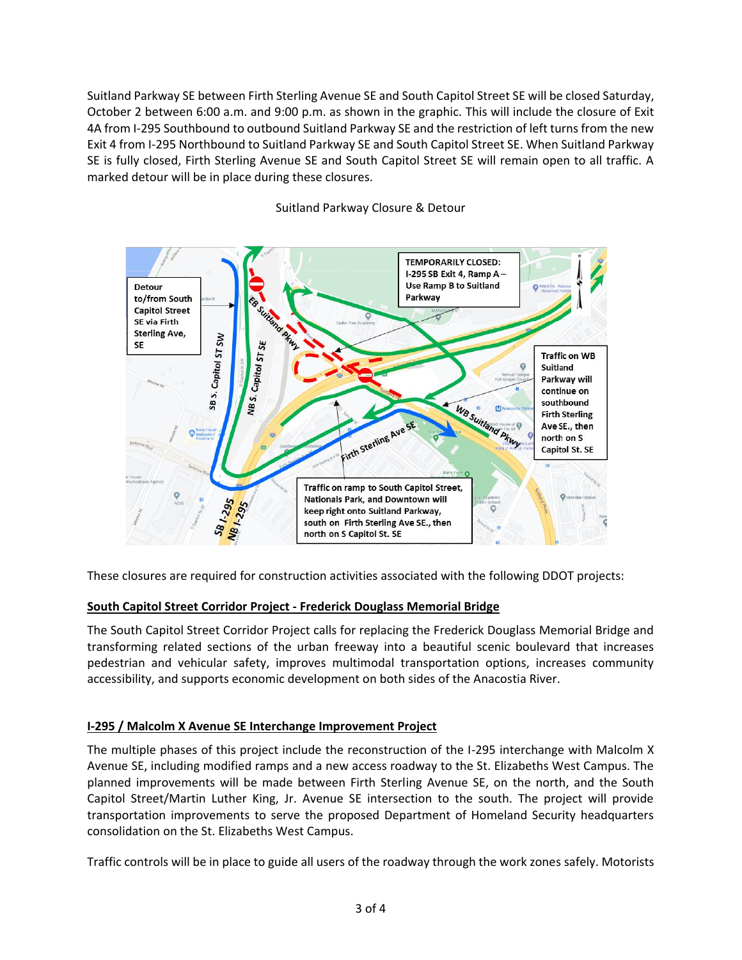Suitland Parkway SE between Firth Sterling Avenue SE and South Capitol Street SE will be closed Saturday, October 2 between 6:00 a.m. and 9:00 p.m. as shown in the graphic. This will include the closure of Exit 4A from I-295 Southbound to outbound Suitland Parkway SE and the restriction of left turns from the new Exit 4 from I-295 Northbound to Suitland Parkway SE and South Capitol Street SE. When Suitland Parkway SE is fully closed, Firth Sterling Avenue SE and South Capitol Street SE will remain open to all traffic. A marked detour will be in place during these closures.



### Suitland Parkway Closure & Detour

These closures are required for construction activities associated with the following DDOT projects:

### **South Capitol Street Corridor Project - Frederick Douglass Memorial Bridge**

The South Capitol Street Corridor Project calls for replacing the Frederick Douglass Memorial Bridge and transforming related sections of the urban freeway into a beautiful scenic boulevard that increases pedestrian and vehicular safety, improves multimodal transportation options, increases community accessibility, and supports economic development on both sides of the Anacostia River.

### **I-295 / Malcolm X Avenue SE Interchange Improvement Project**

The multiple phases of this project include the reconstruction of the I-295 interchange with Malcolm X Avenue SE, including modified ramps and a new access roadway to the St. Elizabeths West Campus. The planned improvements will be made between Firth Sterling Avenue SE, on the north, and the South Capitol Street/Martin Luther King, Jr. Avenue SE intersection to the south. The project will provide transportation improvements to serve the proposed Department of Homeland Security headquarters consolidation on the St. Elizabeths West Campus.

Traffic controls will be in place to guide all users of the roadway through the work zones safely. Motorists